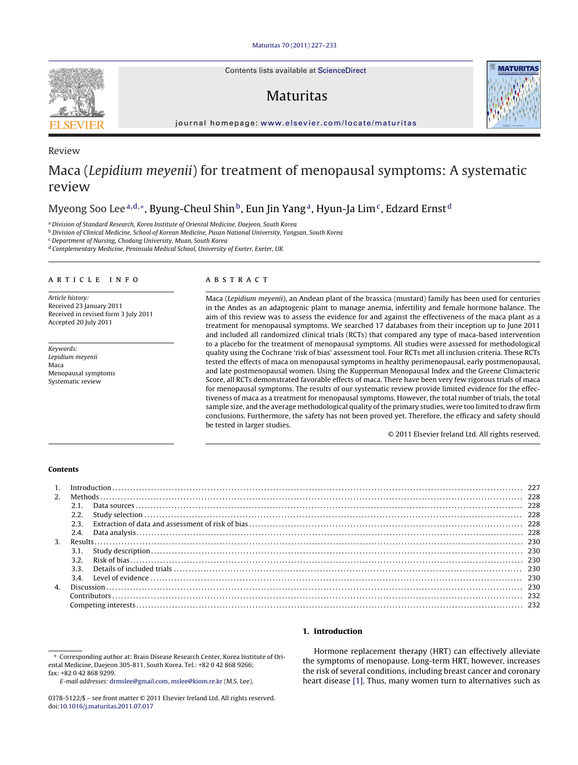Contents lists available at [ScienceDirect](http://www.sciencedirect.com/science/journal/03785122)

## Maturitas



journal hom epage: [www.elsevier.com/locate/maturitas](http://www.elsevier.com/locate/maturitas)

# Maca (Lepidium meyenii) for treatment of menopausal symptoms: A systematic review

## Myeong Soo Lee<sup>a,d,∗</sup>, Byung-Cheul Shin<sup>b</sup>, Eun Jin Yang<sup>a</sup>, Hyun-Ja Lim<sup>c</sup>, Edzard Ernst<sup>d</sup>

<sup>a</sup> Division of Standard Research, Korea Institute of Oriental Medicine, Daejeon, South Korea

<sup>b</sup> Division of Clinical Medicine, School of Korean Medicine, Pusan National University, Yangsan, South Korea

<sup>c</sup> Department of Nursing, Chodang University, Muan, South Korea

<sup>d</sup> Complementary Medicine, Peninsula Medical School, University of Exeter, Exeter, UK

## a r t i c l e i n f o

Article history: Received 23 January 2011 Received in revised form 3 July 2011 Accepted 20 July 2011

Keywords: Lepidium meyenii Maca Menopausal symptoms Systematic review

## A B S T R A C T

Maca (Lepidium meyenii), an Andean plant of the brassica (mustard) family has been used for centuries in the Andes as an adaptogenic plant to manage anemia, infertility and female hormone balance. The aim of this review was to assess the evidence for and against the effectiveness of the maca plant as a treatment for menopausal symptoms. We searched 17 databases from their inception up to June 2011 and included all randomized clinical trials (RCTs) that compared any type of maca-based intervention to a placebo for the treatment of menopausal symptoms. All studies were assessed for methodological quality using the Cochrane 'risk of bias' assessment tool. Four RCTs met all inclusion criteria. These RCTs tested the effects of maca on menopausal symptoms in healthy perimenopausal, early postmenopausal, and late postmenopausal women. Using the Kupperman Menopausal Index and the Greene Climacteric Score, all RCTs demonstrated favorable effects of maca. There have been very few rigorous trials of maca for menopausal symptoms. The results of our systematic review provide limited evidence for the effectiveness of maca as a treatment for menopausal symptoms. However, the total number of trials, the total sample size, and the average methodological quality of the primary studies, were too limited to draw firm conclusions. Furthermore, the safety has not been proved yet. Therefore, the efficacy and safety should be tested in larger studies.

© 2011 Elsevier Ireland Ltd. All rights reserved.

## **Contents**

| 2 <sup>1</sup> |                  |  |  |  |  |
|----------------|------------------|--|--|--|--|
|                | 2.1.             |  |  |  |  |
|                |                  |  |  |  |  |
|                | 23               |  |  |  |  |
|                | 2.4.             |  |  |  |  |
| 3 <sub>1</sub> |                  |  |  |  |  |
|                | 3.1.             |  |  |  |  |
|                | 3.2 <sub>1</sub> |  |  |  |  |
|                | 3.3.             |  |  |  |  |
|                | 3.4.             |  |  |  |  |
| $\mathbf{A}$   |                  |  |  |  |  |
|                |                  |  |  |  |  |
|                |                  |  |  |  |  |
|                |                  |  |  |  |  |

## **1. Introduction**

∗ Corresponding author at: Brain Disease Research Center, Korea Institute of Oriental Medicine, Daejeon 305-811, South Korea. Tel.: +82 0 42 868 9266; fax: +82 0 42 868 9299.

E-mail addresses: [drmslee@gmail.com](mailto:drmslee@gmail.com), [mslee@kiom.re.kr](mailto:mslee@kiom.re.kr) (M.S. Lee).

Hormone replacement therapy (HRT) can effectively alleviate the symptoms of menopause. Long-term HRT, however, increases the risk of several conditions, including breast cancer and coronary heart disease [\[1\].](#page-5-0) Thus, many women turn to alternatives such as



Review

<sup>0378-5122/\$</sup> – see front matter © 2011 Elsevier Ireland Ltd. All rights reserved. doi:[10.1016/j.maturitas.2011.07.017](dx.doi.org/10.1016/j.maturitas.2011.07.017)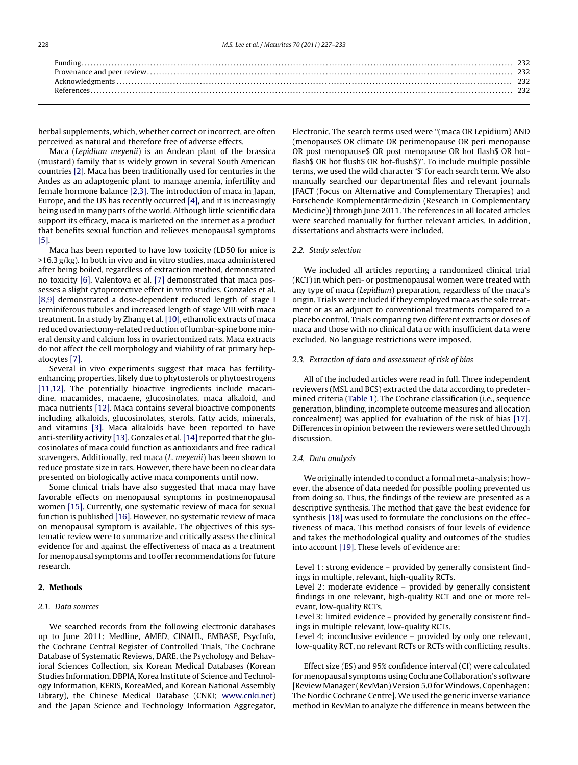herbal supplements, which, whether correct or incorrect, are often perceived as natural and therefore free of adverse effects.

Maca (Lepidium meyenii) is an Andean plant of the brassica (mustard) family that is widely grown in several South American countries [\[2\].](#page-5-0) Maca has been traditionally used for centuries in the Andes as an adaptogenic plant to manage anemia, infertility and female hormone balance [\[2,3\].](#page-5-0) The introduction of maca in Japan, Europe, and the US has recently occurred [\[4\],](#page-5-0) and it is increasingly being used in many parts of the world. Although little scientific data support its efficacy, maca is marketed on the internet as a product that benefits sexual function and relieves menopausal symptoms [\[5\].](#page-5-0)

Maca has been reported to have low toxicity (LD50 for mice is >16.3 g/kg). In both in vivo and in vitro studies, maca administered after being boiled, regardless of extraction method, demonstrated no toxicity [\[6\].](#page-5-0) Valentova et al. [\[7\]](#page-5-0) demonstrated that maca possesses a slight cytoprotective effect in vitro studies. Gonzales et al. [\[8,9\]](#page-5-0) demonstrated a dose-dependent reduced length of stage I seminiferous tubules and increased length of stage VIII with maca treatment. In a study by Zhang et al.[\[10\],](#page-5-0) ethanolic extracts of maca reduced ovariectomy-related reduction of lumbar-spine bone mineral density and calcium loss in ovariectomized rats. Maca extracts do not affect the cell morphology and viability of rat primary hepatocytes [\[7\].](#page-5-0)

Several in vivo experiments suggest that maca has fertilityenhancing properties, likely due to phytosterols or phytoestrogens [\[11,12\].](#page-5-0) The potentially bioactive ingredients include macaridine, macamides, macaene, glucosinolates, maca alkaloid, and maca nutrients [\[12\].](#page-5-0) Maca contains several bioactive components including alkaloids, glucosinolates, sterols, fatty acids, minerals, and vitamins [\[3\].](#page-5-0) Maca alkaloids have been reported to have anti-sterility activity [\[13\].](#page-5-0) Gonzales et al. [\[14\]](#page-5-0) reported that the glucosinolates of maca could function as antioxidants and free radical scavengers. Additionally, red maca (L. meyenii) has been shown to reduce prostate size in rats. However, there have been no clear data presented on biologically active maca components until now.

Some clinical trials have also suggested that maca may have favorable effects on menopausal symptoms in postmenopausal women [\[15\].](#page-5-0) Currently, one systematic review of maca for sexual function is published [\[16\].](#page-5-0) However, no systematic review of maca on menopausal symptom is available. The objectives of this systematic review were to summarize and critically assess the clinical evidence for and against the effectiveness of maca as a treatment for menopausal symptoms and to offer recommendations for future research.

## **2. Methods**

## 2.1. Data sources

We searched records from the following electronic databases up to June 2011: Medline, AMED, CINAHL, EMBASE, PsycInfo, the Cochrane Central Register of Controlled Trials, The Cochrane Database of Systematic Reviews, DARE, the Psychology and Behavioral Sciences Collection, six Korean Medical Databases (Korean Studies Information, DBPIA, Korea Institute of Science and Technology Information, KERIS, KoreaMed, and Korean National Assembly Library), the Chinese Medical Database (CNKI; [www.cnki.net](http://www.cnki.net/)) and the Japan Science and Technology Information Aggregator,

Electronic. The search terms used were "(maca OR Lepidium) AND (menopause\$ OR climate OR perimenopause OR peri menopause OR post menopause\$ OR post menopause OR hot flash\$ OR hotflash\$ OR hot flush\$ OR hot-flush\$)". To include multiple possible terms, we used the wild character '\$' for each search term. We also manually searched our departmental files and relevant journals [FACT (Focus on Alternative and Complementary Therapies) and Forschende Komplementärmedizin (Research in Complementary Medicine)] through June 2011. The references in all located articles were searched manually for further relevant articles. In addition, dissertations and abstracts were included.

## 2.2. Study selection

We included all articles reporting a randomized clinical trial (RCT) in which peri- or postmenopausal women were treated with any type of maca (Lepidium) preparation, regardless of the maca's origin. Trials were included ifthey employed maca as the sole treatment or as an adjunct to conventional treatments compared to a placebo control. Trials comparing two different extracts or doses of maca and those with no clinical data or with insufficient data were excluded. No language restrictions were imposed.

## 2.3. Extraction of data and assessment of risk of bias

All of the included articles were read in full. Three independent reviewers (MSL and BCS) extracted the data according to predetermined criteria [\(Table](#page-2-0) 1). The Cochrane classification (i.e., sequence generation, blinding, incomplete outcome measures and allocation concealment) was applied for evaluation of the risk of bias [\[17\].](#page-5-0) Differences in opinion between the reviewers were settled through discussion.

## 2.4. Data analysis

We originally intended to conduct a formal meta-analysis; however, the absence of data needed for possible pooling prevented us from doing so. Thus, the findings of the review are presented as a descriptive synthesis. The method that gave the best evidence for synthesis [\[18\]](#page-5-0) was used to formulate the conclusions on the effectiveness of maca. This method consists of four levels of evidence and takes the methodological quality and outcomes of the studies into account [\[19\].](#page-5-0) These levels of evidence are:

Level 1: strong evidence – provided by generally consistent findings in multiple, relevant, high-quality RCTs.

Level 2: moderate evidence – provided by generally consistent findings in one relevant, high-quality RCT and one or more relevant, low-quality RCTs.

Level 3: limited evidence – provided by generally consistent findings in multiple relevant, low-quality RCTs.

Level 4: inconclusive evidence – provided by only one relevant, low-quality RCT, no relevant RCTs or RCTs with conflicting results.

Effect size (ES) and 95% confidence interval (CI) were calculated for menopausal symptoms using Cochrane Collaboration's software [Review Manager (RevMan) Version 5.0 for Windows. Copenhagen: The Nordic Cochrane Centre]. We used the generic inverse variance method in RevMan to analyze the difference in means between the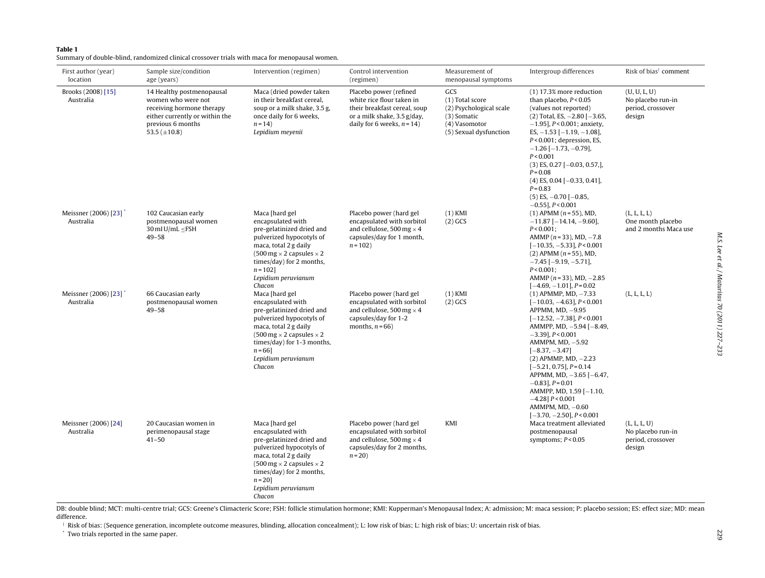#### <span id="page-2-0"></span>**Table 1**

Summary of double-blind, randomized clinical crossover trials with maca for menopausal women.

| First author (year)<br>location     | Sample size/condition<br>age (years)                                                                                                                      | Intervention (regimen)                                                                                                                                                                                                                                      | Control intervention<br>(regimen)                                                                                                                   | Measurement of<br>menopausal symptoms                                                                       | Intergroup differences                                                                                                                                                                                                                                                                                                                                                                                                                       | Risk of bias <sup><math>\dagger</math></sup> comment             |
|-------------------------------------|-----------------------------------------------------------------------------------------------------------------------------------------------------------|-------------------------------------------------------------------------------------------------------------------------------------------------------------------------------------------------------------------------------------------------------------|-----------------------------------------------------------------------------------------------------------------------------------------------------|-------------------------------------------------------------------------------------------------------------|----------------------------------------------------------------------------------------------------------------------------------------------------------------------------------------------------------------------------------------------------------------------------------------------------------------------------------------------------------------------------------------------------------------------------------------------|------------------------------------------------------------------|
| Brooks (2008) [15]<br>Australia     | 14 Healthy postmenopausal<br>women who were not<br>receiving hormone therapy<br>either currently or within the<br>previous 6 months<br>53.5 ( $\pm$ 10.8) | Maca (dried powder taken<br>in their breakfast cereal,<br>soup or a milk shake, 3.5 g,<br>once daily for 6 weeks,<br>$n = 14$<br>Lepidium meyenii                                                                                                           | Placebo power (refined<br>white rice flour taken in<br>their breakfast cereal, soup<br>or a milk shake, 3.5 g/day,<br>daily for 6 weeks, $n = 14$ ) | GCS<br>(1) Total score<br>(2) Psychological scale<br>(3) Somatic<br>(4) Vasomotor<br>(5) Sexual dysfunction | $(1)$ 17.3% more reduction<br>than placebo, $P < 0.05$<br>(values not reported)<br>$(2)$ Total, ES, $-2.80$ [ $-3.65$ ,<br>$-1.95$ ], $P < 0.001$ ; anxiety,<br>ES, $-1.53$ [ $-1.19$ , $-1.08$ ],<br>$P < 0.001$ ; depression, ES,<br>$-1.26$ [ $-1.73$ , $-0.79$ ],<br>P < 0.001<br>$(3)$ ES, 0.27 [-0.03, 0.57,],<br>$P = 0.08$<br>$(4)$ ES, 0.04 [-0.33, 0.41],<br>$P = 0.83$<br>$(5)$ ES, $-0.70$ [ $-0.85$ ,<br>$-0.55$ ], $P < 0.001$ | (U, U, L, U)<br>No placebo run-in<br>period, crossover<br>design |
| Meissner (2006) [23] *<br>Australia | 102 Caucasian early<br>postmenopausal women<br>30 mI U/mL $\leq$ FSH<br>$49 - 58$                                                                         | Maca [hard gel<br>encapsulated with<br>pre-gelatinized dried and<br>pulverized hypocotyls of<br>maca, total 2 g daily<br>$(500\,mg\times 2\;capsules\times 2$<br>times/day) for 2 months,<br>$n = 102$<br>Lepidium peruvianum<br>Chacon                     | Placebo power (hard gel<br>encapsulated with sorbitol<br>and cellulose, 500 mg $\times$ 4<br>capsules/day for 1 month,<br>$n = 102$                 | $(1)$ KMI<br>(2) GCS                                                                                        | $(1)$ APMM $(n = 55)$ , MD,<br>$-11.87$ [ $-14.14$ , $-9.60$ ],<br>$P < 0.001$ ;<br>AMMP ( $n = 33$ ), MD, $-7.8$<br>$[-10.35, -5.33], P < 0.001$<br>$(2)$ APMM $(n=55)$ , MD,<br>$-7.45$ [ $-9.19, -5.71$ ],<br>$P < 0.001$ ;<br>AMMP ( $n = 33$ ), MD, $-2.85$<br>$[-4.69, -1.01]$ , $P = 0.02$                                                                                                                                            | (L, L, L, L)<br>One month placebo<br>and 2 months Maca use       |
| Meissner (2006) [23]<br>Australia   | 66 Caucasian early<br>postmenopausal women<br>$49 - 58$                                                                                                   | Maca [hard gel<br>encapsulated with<br>pre-gelatinized dried and<br>pulverized hypocotyls of<br>maca, total 2 g daily<br>$(500 \,\text{mg} \times 2 \text{ capsules} \times 2)$<br>times/day) for 1-3 months,<br>$n = 661$<br>Lepidium peruvianum<br>Chacon | Placebo power (hard gel<br>encapsulated with sorbitol<br>and cellulose, 500 mg $\times$ 4<br>capsules/day for 1-2<br>months, $n = 66$ )             | $(1)$ KMI<br>(2) GCS                                                                                        | $(1)$ APMMP, MD, $-7.33$<br>$[-10.03, -4.63]$ , $P < 0.001$<br>APPMM, $MD, -9.95$<br>$[-12.52, -7.38], P < 0.001$<br>AMMPP, MD, $-5.94$ [ $-8.49$ ,<br>$-3.39$ ], $P < 0.001$<br>AMMPM, MD, -5.92<br>$[-8.37, -3.47]$<br>$(2)$ APMMP, MD, $-2.23$<br>$[-5.21, 0.75]$ , $P=0.14$<br>APPMM, MD, -3.65 [-6.47,<br>$-0.83$ ], $P = 0.01$<br>AMMPP, MD, 1.59 [-1.10,<br>$-4.28$ ] $P < 0.001$<br>AMMPM, MD, -0.60<br>$[-3.70, -2.50], P < 0.001$  | (L, L, L, L)                                                     |
| Meissner (2006) [24]<br>Australia   | 20 Caucasian women in<br>perimenopausal stage<br>$41 - 50$                                                                                                | Maca [hard gel<br>encapsulated with<br>pre-gelatinized dried and<br>pulverized hypocotyls of<br>maca, total 2 g daily<br>$(500 \,\text{mg} \times 2 \text{ capsules} \times 2)$<br>times/day) for 2 months,<br>$n = 20$<br>Lepidium peruvianum<br>Chacon    | Placebo power (hard gel<br>encapsulated with sorbitol<br>and cellulose, 500 mg $\times$ 4<br>capsules/day for 2 months,<br>$n\!=\!20)$              | KMI                                                                                                         | Maca treatment alleviated<br>postmenopausal<br>symptoms; $P < 0.05$                                                                                                                                                                                                                                                                                                                                                                          | (L, L, L, U)<br>No placebo run-in<br>period, crossover<br>design |

DB: double blind; MCT: multi-centre trial; GCS: Greene's Climacteric Score; FSH: follicle stimulation hormone; KMI: Kupperman's Menopausal Index; A: admission; M: maca session; P: placebo session; ES: effect size; MD: mean difference.

† Risk of bias: (Sequence generation, incomplete outcome measures, blinding, allocation concealment); L: low risk of bias; L: high risk of bias; U: uncertain risk of bias.

\* Two trials reported in the same paper.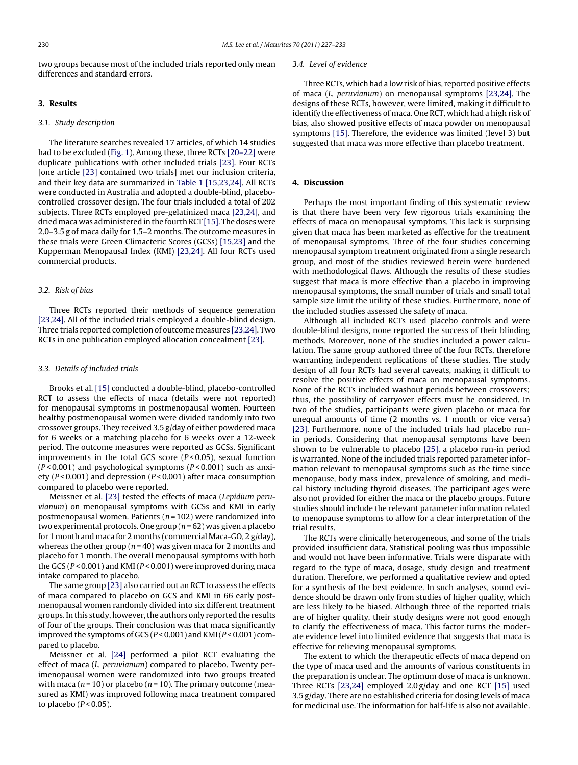two groups because most of the included trials reported only mean differences and standard errors.

## **3. Results**

## 3.1. Study description

The literature searches revealed 17 articles, of which 14 studies had to be excluded ([Fig.](#page-4-0) 1). Among these, three RCTs [\[20–22\]](#page-5-0) were duplicate publications with other included trials [\[23\].](#page-6-0) Four RCTs [one article [\[23\]](#page-6-0) contained two trials] met our inclusion criteria, and their key data are summarized in [Table](#page-2-0) 1 [\[15,23,24\].](#page-5-0) All RCTs were conducted in Australia and adopted a double-blind, placebocontrolled crossover design. The four trials included a total of 202 subjects. Three RCTs employed pre-gelatinized maca [\[23,24\],](#page-6-0) and dried maca was administered in the fourth RCT [\[15\].](#page-5-0) The doses were 2.0–3.5 g of maca daily for 1.5–2 months. The outcome measures in these trials were Green Climacteric Scores (GCSs) [\[15,23\]](#page-5-0) and the Kupperman Menopausal Index (KMI) [\[23,24\].](#page-6-0) All four RCTs used commercial products.

## 3.2. Risk of bias

Three RCTs reported their methods of sequence generation [\[23,24\].](#page-6-0) All of the included trials employed a double-blind design. Three trials reported completion of outcome measures [\[23,24\].](#page-6-0) Two RCTs in one publication employed allocation concealment [\[23\].](#page-6-0)

### 3.3. Details of included trials

Brooks et al. [\[15\]](#page-5-0) conducted a double-blind, placebo-controlled RCT to assess the effects of maca (details were not reported) for menopausal symptoms in postmenopausal women. Fourteen healthy postmenopausal women were divided randomly into two crossover groups. They received 3.5 g/day of either powdered maca for 6 weeks or a matching placebo for 6 weeks over a 12-week period. The outcome measures were reported as GCSs. Significant improvements in the total GCS score  $(P < 0.05)$ , sexual function  $(P<0.001)$  and psychological symptoms  $(P<0.001)$  such as anxiety ( $P < 0.001$ ) and depression ( $P < 0.001$ ) after maca consumption compared to placebo were reported.

Meissner et al. [\[23\]](#page-6-0) tested the effects of maca (Lepidium peruvianum) on menopausal symptoms with GCSs and KMI in early postmenopausal women. Patients ( $n = 102$ ) were randomized into two experimental protocols. One group  $(n = 62)$  was given a placebo for 1 month and maca for 2 months (commercial Maca-GO, 2 g/day), whereas the other group ( $n = 40$ ) was given maca for 2 months and placebo for 1 month. The overall menopausal symptoms with both the GCS ( $P < 0.001$ ) and KMI ( $P < 0.001$ ) were improved during maca intake compared to placebo.

The same group [\[23\]](#page-6-0) also carried out an RCT to assess the effects of maca compared to placebo on GCS and KMI in 66 early postmenopausal women randomly divided into six different treatment groups. In this study, however,the authors only reported the results of four of the groups. Their conclusion was that maca significantly improved the symptoms of GCS ( $P < 0.001$ ) and KMI ( $P < 0.001$ ) compared to placebo.

Meissner et al. [\[24\]](#page-6-0) performed a pilot RCT evaluating the effect of maca (L. peruvianum) compared to placebo. Twenty perimenopausal women were randomized into two groups treated with maca ( $n = 10$ ) or placebo ( $n = 10$ ). The primary outcome (measured as KMI) was improved following maca treatment compared to placebo ( $P < 0.05$ ).

#### 3.4. Level of evidence

Three RCTs, which had a low risk of bias, reported positive effects of maca (L. peruvianum) on menopausal symptoms [\[23,24\].](#page-6-0) The designs of these RCTs, however, were limited, making it difficult to identify the effectiveness of maca. One RCT, which had a high risk of bias, also showed positive effects of maca powder on menopausal symptoms [\[15\].](#page-5-0) Therefore, the evidence was limited (level 3) but suggested that maca was more effective than placebo treatment.

## **4. Discussion**

Perhaps the most important finding of this systematic review is that there have been very few rigorous trials examining the effects of maca on menopausal symptoms. This lack is surprising given that maca has been marketed as effective for the treatment of menopausal symptoms. Three of the four studies concerning menopausal symptom treatment originated from a single research group, and most of the studies reviewed herein were burdened with methodological flaws. Although the results of these studies suggest that maca is more effective than a placebo in improving menopausal symptoms, the small number of trials and small total sample size limit the utility of these studies. Furthermore, none of the included studies assessed the safety of maca.

Although all included RCTs used placebo controls and were double-blind designs, none reported the success of their blinding methods. Moreover, none of the studies included a power calculation. The same group authored three of the four RCTs, therefore warranting independent replications of these studies. The study design of all four RCTs had several caveats, making it difficult to resolve the positive effects of maca on menopausal symptoms. None of the RCTs included washout periods between crossovers; thus, the possibility of carryover effects must be considered. In two of the studies, participants were given placebo or maca for unequal amounts of time (2 months vs. 1 month or vice versa) [\[23\].](#page-6-0) Furthermore, none of the included trials had placebo runin periods. Considering that menopausal symptoms have been shown to be vulnerable to placebo [\[25\],](#page-6-0) a placebo run-in period is warranted. None of the included trials reported parameter information relevant to menopausal symptoms such as the time since menopause, body mass index, prevalence of smoking, and medical history including thyroid diseases. The participant ages were also not provided for either the maca or the placebo groups. Future studies should include the relevant parameter information related to menopause symptoms to allow for a clear interpretation of the trial results.

The RCTs were clinically heterogeneous, and some of the trials provided insufficient data. Statistical pooling was thus impossible and would not have been informative. Trials were disparate with regard to the type of maca, dosage, study design and treatment duration. Therefore, we performed a qualitative review and opted for a synthesis of the best evidence. In such analyses, sound evidence should be drawn only from studies of higher quality, which are less likely to be biased. Although three of the reported trials are of higher quality, their study designs were not good enough to clarify the effectiveness of maca. This factor turns the moderate evidence level into limited evidence that suggests that maca is effective for relieving menopausal symptoms.

The extent to which the therapeutic effects of maca depend on the type of maca used and the amounts of various constituents in the preparation is unclear. The optimum dose of maca is unknown. Three RCTs [\[23,24\]](#page-6-0) employed 2.0 g/day and one RCT [\[15\]](#page-5-0) used 3.5 g/day. There are no established criteria for dosing levels of maca for medicinal use. The information for half-life is also not available.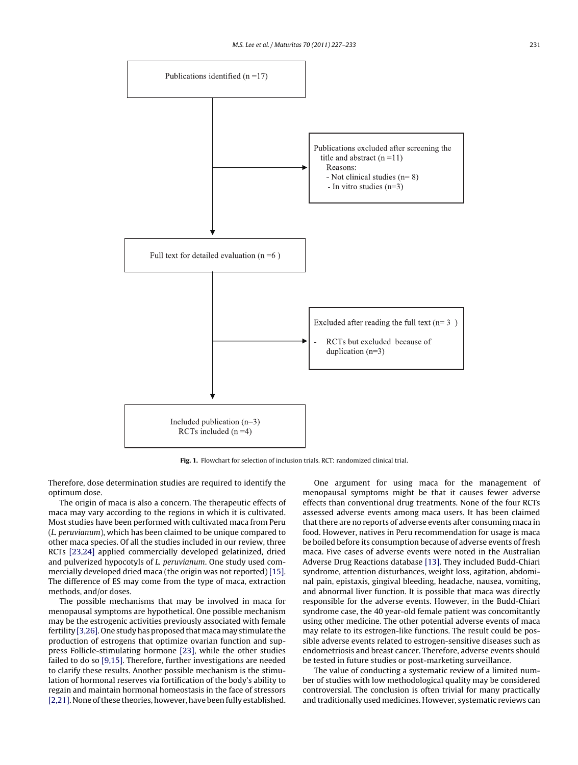<span id="page-4-0"></span>

**Fig. 1.** Flowchart for selection of inclusion trials. RCT: randomized clinical trial.

Therefore, dose determination studies are required to identify the optimum dose.

The origin of maca is also a concern. The therapeutic effects of maca may vary according to the regions in which it is cultivated. Most studies have been performed with cultivated maca from Peru (L. peruvianum), which has been claimed to be unique compared to other maca species. Of all the studies included in our review, three RCTs [\[23,24\]](#page-6-0) applied commercially developed gelatinized, dried and pulverized hypocotyls of L. peruvianum. One study used commercially developed dried maca (the origin was not reported) [\[15\].](#page-5-0) The difference of ES may come from the type of maca, extraction methods, and/or doses.

The possible mechanisms that may be involved in maca for menopausal symptoms are hypothetical. One possible mechanism may be the estrogenic activities previously associated with female fertility [\[3,26\].](#page-5-0) One studyhas proposed thatmacamay stimulate the production of estrogens that optimize ovarian function and suppress Follicle-stimulating hormone [\[23\],](#page-6-0) while the other studies failed to do so [\[9,15\].](#page-5-0) Therefore, further investigations are needed to clarify these results. Another possible mechanism is the stimulation of hormonal reserves via fortification of the body's ability to regain and maintain hormonal homeostasis in the face of stressors [\[2,21\].](#page-5-0) None of these theories, however, have been fully established.

One argument for using maca for the management of menopausal symptoms might be that it causes fewer adverse effects than conventional drug treatments. None of the four RCTs assessed adverse events among maca users. It has been claimed that there are no reports of adverse events after consuming maca in food. However, natives in Peru recommendation for usage is maca be boiled before its consumption because of adverse events of fresh maca. Five cases of adverse events were noted in the Australian Adverse Drug Reactions database [\[13\].](#page-5-0) They included Budd-Chiari syndrome, attention disturbances, weight loss, agitation, abdominal pain, epistaxis, gingival bleeding, headache, nausea, vomiting, and abnormal liver function. It is possible that maca was directly responsible for the adverse events. However, in the Budd-Chiari syndrome case, the 40 year-old female patient was concomitantly using other medicine. The other potential adverse events of maca may relate to its estrogen-like functions. The result could be possible adverse events related to estrogen-sensitive diseases such as endometriosis and breast cancer. Therefore, adverse events should be tested in future studies or post-marketing surveillance.

The value of conducting a systematic review of a limited number of studies with low methodological quality may be considered controversial. The conclusion is often trivial for many practically and traditionally used medicines. However, systematic reviews can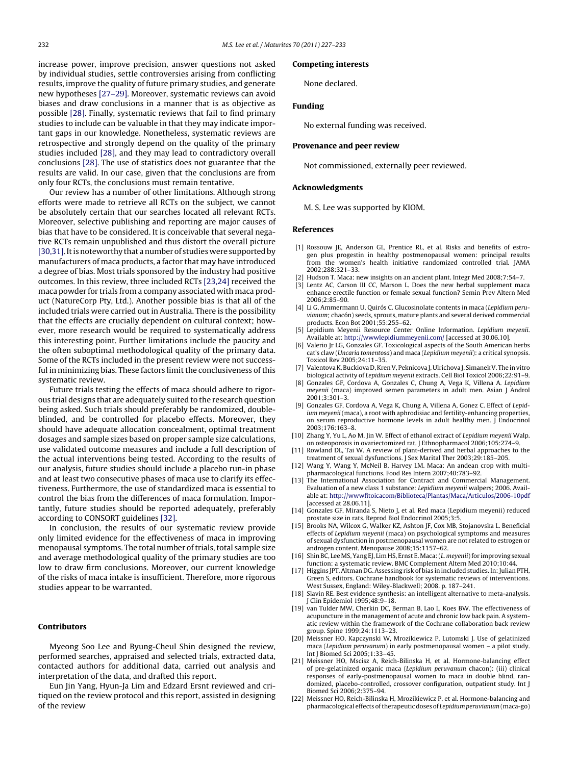<span id="page-5-0"></span>increase power, improve precision, answer questions not asked by individual studies, settle controversies arising from conflicting results, improve the quality of future primary studies, and generate new hypotheses [\[27–29\].](#page-6-0) Moreover, systematic reviews can avoid biases and draw conclusions in a manner that is as objective as possible [\[28\].](#page-6-0) Finally, systematic reviews that fail to find primary studies to include can be valuable in that they may indicate important gaps in our knowledge. Nonetheless, systematic reviews are retrospective and strongly depend on the quality of the primary studies included [\[28\],](#page-6-0) and they may lead to contradictory overall conclusions [\[28\].](#page-6-0) The use of statistics does not guarantee that the results are valid. In our case, given that the conclusions are from only four RCTs, the conclusions must remain tentative.

Our review has a number of other limitations. Although strong efforts were made to retrieve all RCTs on the subject, we cannot be absolutely certain that our searches located all relevant RCTs. Moreover, selective publishing and reporting are major causes of bias that have to be considered. It is conceivable that several negative RCTs remain unpublished and thus distort the overall picture [30,31]. It is noteworthy that a number of studies were supported by manufacturers of maca products, a factor that may have introduced a degree of bias. Most trials sponsored by the industry had positive outcomes. In this review, three included RCTs [\[23,24\]](#page-6-0) received the maca powder for trials from a company associated with maca product (NatureCorp Pty, Ltd.). Another possible bias is that all of the included trials were carried out in Australia. There is the possibility that the effects are crucially dependent on cultural context; however, more research would be required to systematically address this interesting point. Further limitations include the paucity and the often suboptimal methodological quality of the primary data. Some of the RCTs included in the present review were not successful in minimizing bias. These factors limit the conclusiveness of this systematic review.

Future trials testing the effects of maca should adhere to rigorous trial designs that are adequately suited to the research question being asked. Such trials should preferably be randomized, doubleblinded, and be controlled for placebo effects. Moreover, they should have adequate allocation concealment, optimal treatment dosages and sample sizes based on proper sample size calculations, use validated outcome measures and include a full description of the actual interventions being tested. According to the results of our analysis, future studies should include a placebo run-in phase and at least two consecutive phases of maca use to clarify its effectiveness. Furthermore, the use of standardized maca is essential to control the bias from the differences of maca formulation. Importantly, future studies should be reported adequately, preferably according to CONSORT guidelines [\[32\].](#page-6-0)

In conclusion, the results of our systematic review provide only limited evidence for the effectiveness of maca in improving menopausal symptoms. The total number of trials, total sample size and average methodological quality of the primary studies are too low to draw firm conclusions. Moreover, our current knowledge of the risks of maca intake is insufficient. Therefore, more rigorous studies appear to be warranted.

## **Contributors**

Myeong Soo Lee and Byung-Cheul Shin designed the review, performed searches, appraised and selected trials, extracted data, contacted authors for additional data, carried out analysis and interpretation of the data, and drafted this report.

Eun Jin Yang, Hyun-Ja Lim and Edzard Ersnt reviewed and critiqued on the review protocol and this report, assisted in designing of the review

#### **Competing interests**

None declared.

## **Funding**

No external funding was received.

### **Provenance and peer review**

Not commissioned, externally peer reviewed.

## **Acknowledgments**

M. S. Lee was supported by KIOM.

## **References**

- [1] Rossouw JE, Anderson GL, Prentice RL, et al. Risks and benefits of estrogen plus progestin in healthy postmenopausal women: principal results from the women's health initiative randomized controlled trial. JAMA 2002;288:321–33.
- Hudson T. Maca: new insights on an ancient plant. Integr Med 2008;7:54-7.
- [3] Lentz AC, Carson III CC, Marson L. Does the new herbal supplement maca enhance erectile function or female sexual function? Semin Prev Altern Med 2006;2:85–90.
- [4] Li G, Ammermann U, Quirós C. Glucosinolate contents in maca (Lepidium peruvianum; chacón) seeds, sprouts, mature plants and several derived commercial products. Econ Bot 2001;55:255–62.
- [5] Lepidium Meyenii Resource Center Online Information. Lepidium meyenii. Available at: <http://wwwlepidiummeyenii.com/> [accessed at 30.06.10].
- [6] Valerio Jr LG, Gonzales GF, Toxicological aspects of the South American herbs cat's claw (Uncaria tomentosa) and maca (Lepidium meyenii): a critical synopsis. Toxicol Rev 2005;24:11–35.
- [7] Valentova K, Buckiova D, Kren V, Peknicova J, Ulrichova J, Simanek V. The in vitro biological activity of Lepidium meyenii extracts. Cell Biol Toxicol 2006;22:91–9.
- [8] Gonzales GF, Cordova A, Gonzales C, Chung A, Vega K, Villena A, Lepidium meyenii (maca) improved semen parameters in adult men. Asian J Androl 2001;3:301–3.
- [9] Gonzales GF, Cordova A, Vega K, Chung A, Villena A, Gonez C. Effect of Lepidium meyenii (maca), a root with aphrodisiac and fertility-enhancing properties, on serum reproductive hormone levels in adult healthy men. J Endocrinol 2003;176:163–8.
- [10] Zhang Y, Yu L, Ao M, Jin W. Effect of ethanol extract of Lepidium meyenii Walp. on osteoporosis in ovariectomized rat. J Ethnopharmacol 2006;105:274–9.
- [11] Rowland DL, Tai W. A review of plant-derived and herbal approaches to the treatment of sexual dysfunctions. J Sex Marital Ther 2003;29:185–205.
- [12] Wang Y, Wang Y, McNeil B, Harvey LM. Maca: An andean crop with multipharmacological functions. Food Res Intern 2007;40:783–92.
- [13] The International Association for Contract and Commercial Management. Evaluation of a new class 1 substance: Lepidium meyenii walpers; 2006. Available at: <http://wwwfitoicacom/Biblioteca/Plantas/Maca/Articulos/2006-10pdf> [accessed at 28.06.11].
- [14] Gonzales GF, Miranda S, Nieto J, et al. Red maca (Lepidium meyenii) reduced prostate size in rats. Reprod Biol Endocrinol 2005;3:5.
- [15] Brooks NA, Wilcox G, Walker KZ, Ashton JF, Cox MB, Stojanovska L. Beneficial effects of Lepidium meyenii (maca) on psychological symptoms and measures of sexual dysfunction in postmenopausal women are not related to estrogen or androgen content. Menopause 2008;15:1157–62.
- [16] Shin BC, Lee MS, Yang EJ, Lim HS, Ernst E. Maca: (L. meyenii) for improving sexual function: a systematic review. BMC Complement Altern Med 2010;10:44.
- [17] Higgins JPT, Altman DG. Assessing risk of bias in included studies. In: Julian PTH, Green S, editors. Cochrane handbook for systematic reviews of interventions. West Sussex, England: Wiley-Blackwell; 2008. p. 187–241.
- [18] Slavin RE. Best evidence synthesis: an intelligent alternative to meta-analysis. J Clin Epidemiol 1995;48:9–18.
- [19] van Tulder MW, Cherkin DC, Berman B, Lao L, Koes BW. The effectiveness of acupuncture in the management of acute and chronic low back pain. A systematic review within the framework of the Cochrane collaboration back review group. Spine 1999;24:1113–23.
- [20] Meissner HO, Kapczynski W, Mrozikiewicz P, Lutomski J. Use of gelatinized maca (Lepidium peruvanum) in early postmenopausal women – a pilot study. Int J Biomed Sci 2005;1:33–45.
- [21] Meissner HO, Mscisz A, Reich-Bilinska H, et al. Hormone-balancing effect of pre-gelatinized organic maca (Lepidium peruvanum chacon): (iii) clinical responses of early-postmenopausal women to maca in double blind, randomized, placebo-controlled, crossover configuration, outpatient study. Int J Biomed Sci 2006;2:375–94.
- [22] Meissner HO, Reich-Bilinska H, Mrozikiewicz P, et al. Hormone-balancing and pharmacological effects of therapeutic doses of Lepidium peruvianum (maca-go)